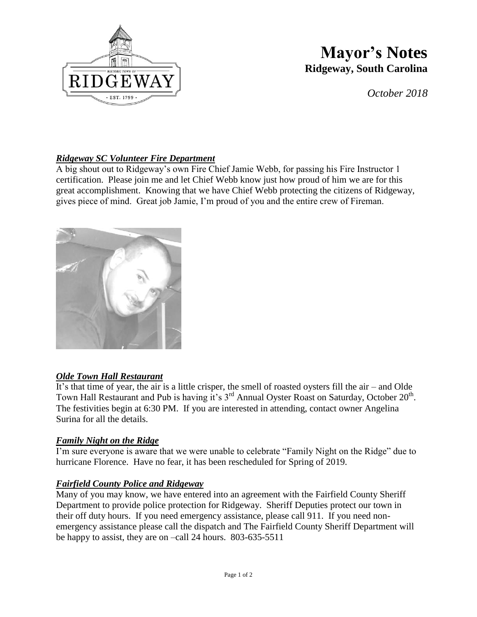

# **Mayor's Notes Ridgeway, South Carolina**

*October 2018*

## *Ridgeway SC Volunteer Fire Department*

A big shout out to Ridgeway's own Fire Chief Jamie Webb, for passing his Fire Instructor 1 certification. Please join me and let Chief Webb know just how proud of him we are for this great accomplishment. Knowing that we have Chief Webb protecting the citizens of Ridgeway, gives piece of mind. Great job Jamie, I'm proud of you and the entire crew of Fireman.



## *Olde Town Hall Restaurant*

It's that time of year, the air is a little crisper, the smell of roasted oysters fill the air – and Olde Town Hall Restaurant and Pub is having it's  $3^{rd}$  Annual Oyster Roast on Saturday, October  $20^{th}$ . The festivities begin at 6:30 PM. If you are interested in attending, contact owner Angelina Surina for all the details.

#### *Family Night on the Ridge*

I'm sure everyone is aware that we were unable to celebrate "Family Night on the Ridge" due to hurricane Florence. Have no fear, it has been rescheduled for Spring of 2019.

#### *Fairfield County Police and Ridgeway*

Many of you may know, we have entered into an agreement with the Fairfield County Sheriff Department to provide police protection for Ridgeway. Sheriff Deputies protect our town in their off duty hours. If you need emergency assistance, please call 911. If you need nonemergency assistance please call the dispatch and The Fairfield County Sheriff Department will be happy to assist, they are on –call 24 hours. 803-635-5511